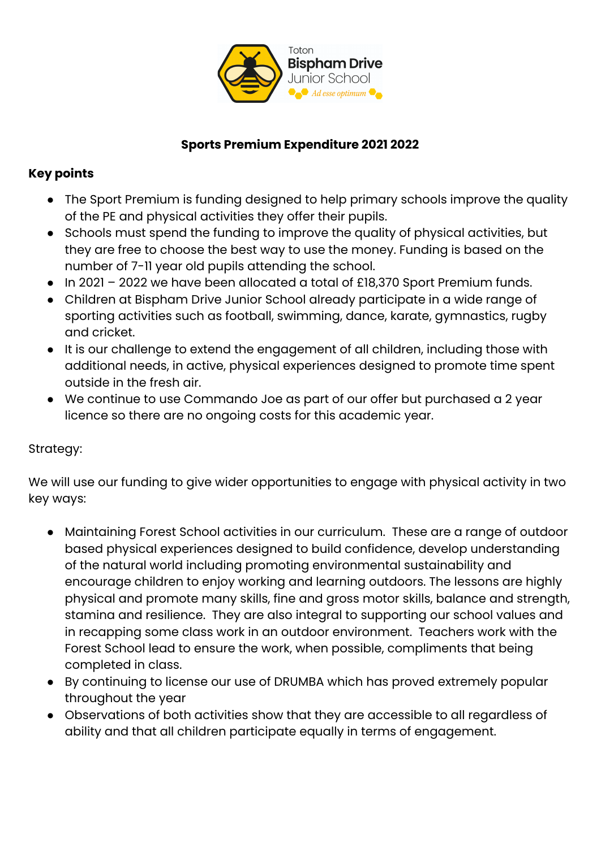

## **Sports Premium Expenditure 2021 2022**

## **Key points**

- The Sport Premium is funding designed to help primary schools improve the quality of the PE and physical activities they offer their pupils.
- Schools must spend the funding to improve the quality of physical activities, but they are free to choose the best way to use the money. Funding is based on the number of 7-11 year old pupils attending the school.
- In 2021 2022 we have been allocated a total of £18,370 Sport Premium funds.
- Children at Bispham Drive Junior School already participate in a wide range of sporting activities such as football, swimming, dance, karate, gymnastics, rugby and cricket.
- It is our challenge to extend the engagement of all children, including those with additional needs, in active, physical experiences designed to promote time spent outside in the fresh air.
- We continue to use Commando Joe as part of our offer but purchased a 2 year licence so there are no ongoing costs for this academic year.

## Strategy:

We will use our funding to give wider opportunities to engage with physical activity in two key ways:

- Maintaining Forest School activities in our curriculum. These are a range of outdoor based physical experiences designed to build confidence, develop understanding of the natural world including promoting environmental sustainability and encourage children to enjoy working and learning outdoors. The lessons are highly physical and promote many skills, fine and gross motor skills, balance and strength, stamina and resilience. They are also integral to supporting our school values and in recapping some class work in an outdoor environment. Teachers work with the Forest School lead to ensure the work, when possible, compliments that being completed in class.
- By continuing to license our use of DRUMBA which has proved extremely popular throughout the year
- Observations of both activities show that they are accessible to all regardless of ability and that all children participate equally in terms of engagement.